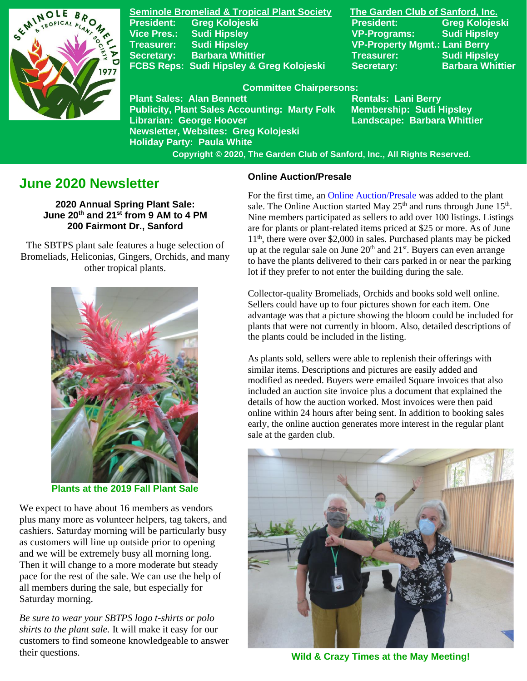

**Seminole Bromeliad & Tropical Plant Society The Garden Club of Sanford, Inc. Vice Pres.: Sudi Hipsley VP-Programs: Sudi Hipsley Treasurer: Sudi Hipsley VP-Property Mgmt.: Lani Berry Secretary:** Barbara Whittier **Network Treasurer:** Sudi Hipsley FCBS Reps: Sudi Hipsley & Greg Kolojeski Secretary: Barbara Whittier

**Publicity, Plant Sales Accounting: Marty Folk** 

**Newsletter, Websites: Greg Kolojeski**

**Holiday Party: Paula White** 

**President: Greg Kolojeski President: Greg Kolojeski** 

#### **Committee Chairpersons:**

Plant Sales: Alan Bennett<br>Publicity, Plant Sales Accounting: Marty Folk Membership: Sudi Hipsley **Librarian: George Hoover Landscape: Barbara Whittier** 

 **Copyright © 2020, The Garden Club of Sanford, Inc., All Rights Reserved.**

# **June 2020 Newsletter**

**2020 Annual Spring Plant Sale: June 20th and 21 st from 9 AM to 4 PM 200 Fairmont Dr., Sanford**

 The SBTPS plant sale features a huge selection of Bromeliads, Heliconias, Gingers, Orchids, and many other tropical plants.



**Plants at the 2019 Fall Plant Sale**

We expect to have about 16 members as vendors plus many more as volunteer helpers, tag takers, and cashiers. Saturday morning will be particularly busy as customers will line up outside prior to opening and we will be extremely busy all morning long. Then it will change to a more moderate but steady pace for the rest of the sale. We can use the help of all members during the sale, but especially for Saturday morning.

*Be sure to wear your SBTPS logo t-shirts or polo shirts to the plant sale.* It will make it easy for our customers to find someone knowledgeable to answer their questions.

### **Online Auction/Presale**

For the first time, an [Online Auction/Presale](https://www.32auctions.com/AnnualSpringPlantSale2020) was added to the plant sale. The Online Auction started May  $25<sup>th</sup>$  and runs through June  $15<sup>th</sup>$ . Nine members participated as sellers to add over 100 listings. Listings are for plants or plant-related items priced at \$25 or more. As of June 11th , there were over \$2,000 in sales. Purchased plants may be picked up at the regular sale on June  $20<sup>th</sup>$  and  $21<sup>st</sup>$ . Buyers can even arrange to have the plants delivered to their cars parked in or near the parking lot if they prefer to not enter the building during the sale.

Collector-quality Bromeliads, Orchids and books sold well online. Sellers could have up to four pictures shown for each item. One advantage was that a picture showing the bloom could be included for plants that were not currently in bloom. Also, detailed descriptions of the plants could be included in the listing.

As plants sold, sellers were able to replenish their offerings with similar items. Descriptions and pictures are easily added and modified as needed. Buyers were emailed Square invoices that also included an auction site invoice plus a document that explained the details of how the auction worked. Most invoices were then paid online within 24 hours after being sent. In addition to booking sales early, the online auction generates more interest in the regular plant sale at the garden club.



**Wild & Crazy Times at the May Meeting!**